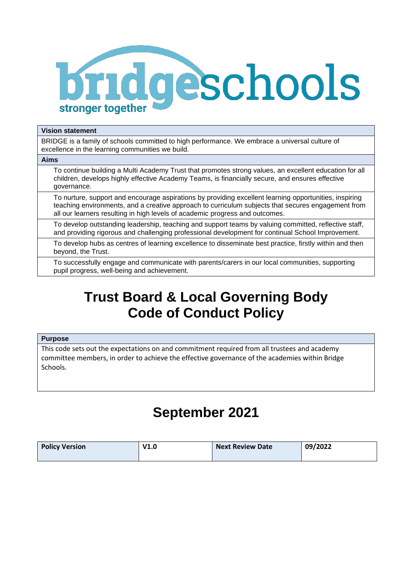

#### **Vision statement**

BRIDGE is a family of schools committed to high performance. We embrace a universal culture of excellence in the learning communities we build.

# **Aims**

To continue building a Multi Academy Trust that promotes strong values, an excellent education for all children, develops highly effective Academy Teams, is financially secure, and ensures effective governance.

To nurture, support and encourage aspirations by providing excellent learning opportunities, inspiring teaching environments, and a creative approach to curriculum subjects that secures engagement from all our learners resulting in high levels of academic progress and outcomes.

To develop outstanding leadership, teaching and support teams by valuing committed, reflective staff, and providing rigorous and challenging professional development for continual School Improvement.

To develop hubs as centres of learning excellence to disseminate best practice, firstly within and then beyond, the Trust.

To successfully engage and communicate with parents/carers in our local communities, supporting pupil progress, well-being and achievement.

# **Trust Board & Local Governing Body Code of Conduct Policy**

# **Purpose**

This code sets out the expectations on and commitment required from all trustees and academy committee members, in order to achieve the effective governance of the academies within Bridge Schools.

# **September 2021**

| <b>Policy Version</b> | V1.0 | Next Review Date | 09/2022 |
|-----------------------|------|------------------|---------|
|                       |      |                  |         |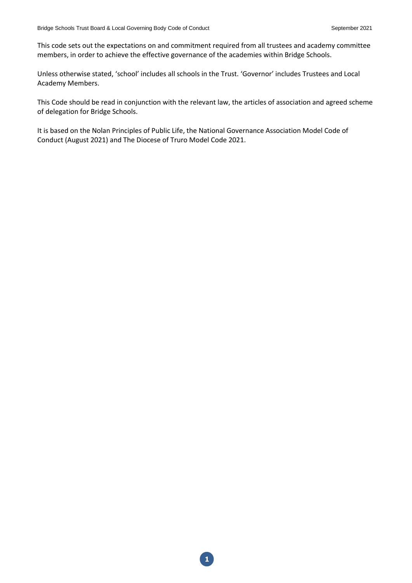This code sets out the expectations on and commitment required from all trustees and academy committee members, in order to achieve the effective governance of the academies within Bridge Schools.

Unless otherwise stated, 'school' includes all schools in the Trust. 'Governor' includes Trustees and Local Academy Members.

This Code should be read in conjunction with the relevant law, the articles of association and agreed scheme of delegation for Bridge Schools.

It is based on the Nolan Principles of Public Life, the National Governance Association Model Code of Conduct (August 2021) and The Diocese of Truro Model Code 2021.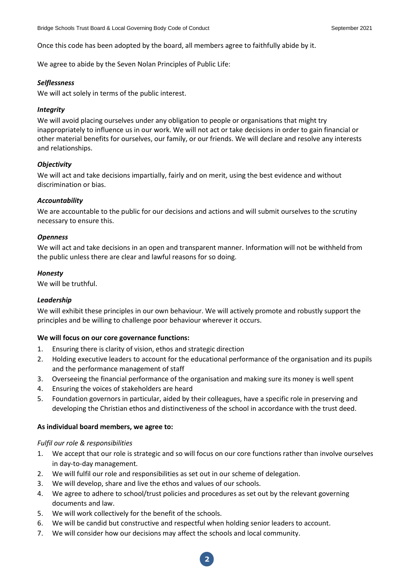Once this code has been adopted by the board, all members agree to faithfully abide by it.

We agree to abide by the Seven Nolan Principles of Public Life:

### *Selflessness*

We will act solely in terms of the public interest.

# *Integrity*

We will avoid placing ourselves under any obligation to people or organisations that might try inappropriately to influence us in our work. We will not act or take decisions in order to gain financial or other material benefits for ourselves, our family, or our friends. We will declare and resolve any interests and relationships.

# *Objectivity*

We will act and take decisions impartially, fairly and on merit, using the best evidence and without discrimination or bias.

# *Accountability*

We are accountable to the public for our decisions and actions and will submit ourselves to the scrutiny necessary to ensure this.

#### *Openness*

We will act and take decisions in an open and transparent manner. Information will not be withheld from the public unless there are clear and lawful reasons for so doing.

# *Honesty*

We will be truthful.

# *Leadership*

We will exhibit these principles in our own behaviour. We will actively promote and robustly support the principles and be willing to challenge poor behaviour wherever it occurs.

#### **We will focus on our core governance functions:**

- 1. Ensuring there is clarity of vision, ethos and strategic direction
- 2. Holding executive leaders to account for the educational performance of the organisation and its pupils and the performance management of staff
- 3. Overseeing the financial performance of the organisation and making sure its money is well spent
- 4. Ensuring the voices of stakeholders are heard
- 5. Foundation governors in particular, aided by their colleagues, have a specific role in preserving and developing the Christian ethos and distinctiveness of the school in accordance with the trust deed.

#### **As individual board members, we agree to:**

#### *Fulfil our role & responsibilities*

- 1. We accept that our role is strategic and so will focus on our core functions rather than involve ourselves in day-to-day management.
- 2. We will fulfil our role and responsibilities as set out in our scheme of delegation.
- 3. We will develop, share and live the ethos and values of our schools.
- 4. We agree to adhere to school/trust policies and procedures as set out by the relevant governing documents and law.
- 5. We will work collectively for the benefit of the schools.
- 6. We will be candid but constructive and respectful when holding senior leaders to account.
- 7. We will consider how our decisions may affect the schools and local community.

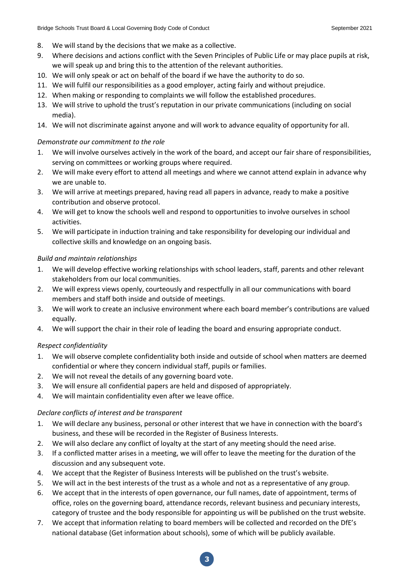- 8. We will stand by the decisions that we make as a collective.
- 9. Where decisions and actions conflict with the Seven Principles of Public Life or may place pupils at risk, we will speak up and bring this to the attention of the relevant authorities.
- 10. We will only speak or act on behalf of the board if we have the authority to do so.
- 11. We will fulfil our responsibilities as a good employer, acting fairly and without prejudice.
- 12. When making or responding to complaints we will follow the established procedures.
- 13. We will strive to uphold the trust's reputation in our private communications (including on social media).
- 14. We will not discriminate against anyone and will work to advance equality of opportunity for all.

### *Demonstrate our commitment to the role*

- 1. We will involve ourselves actively in the work of the board, and accept our fair share of responsibilities, serving on committees or working groups where required.
- 2. We will make every effort to attend all meetings and where we cannot attend explain in advance why we are unable to.
- 3. We will arrive at meetings prepared, having read all papers in advance, ready to make a positive contribution and observe protocol.
- 4. We will get to know the schools well and respond to opportunities to involve ourselves in school activities.
- 5. We will participate in induction training and take responsibility for developing our individual and collective skills and knowledge on an ongoing basis.

#### *Build and maintain relationships*

- 1. We will develop effective working relationships with school leaders, staff, parents and other relevant stakeholders from our local communities.
- 2. We will express views openly, courteously and respectfully in all our communications with board members and staff both inside and outside of meetings.
- 3. We will work to create an inclusive environment where each board member's contributions are valued equally.
- 4. We will support the chair in their role of leading the board and ensuring appropriate conduct.

# *Respect confidentiality*

- 1. We will observe complete confidentiality both inside and outside of school when matters are deemed confidential or where they concern individual staff, pupils or families.
- 2. We will not reveal the details of any governing board vote.
- 3. We will ensure all confidential papers are held and disposed of appropriately.
- 4. We will maintain confidentiality even after we leave office.

#### *Declare conflicts of interest and be transparent*

- 1. We will declare any business, personal or other interest that we have in connection with the board's business, and these will be recorded in the Register of Business Interests.
- 2. We will also declare any conflict of loyalty at the start of any meeting should the need arise.
- 3. If a conflicted matter arises in a meeting, we will offer to leave the meeting for the duration of the discussion and any subsequent vote.
- 4. We accept that the Register of Business Interests will be published on the trust's website.
- 5. We will act in the best interests of the trust as a whole and not as a representative of any group.
- 6. We accept that in the interests of open governance, our full names, date of appointment, terms of office, roles on the governing board, attendance records, relevant business and pecuniary interests, category of trustee and the body responsible for appointing us will be published on the trust website.
- 7. We accept that information relating to board members will be collected and recorded on the DfE's national database (Get information about schools), some of which will be publicly available.

**3**